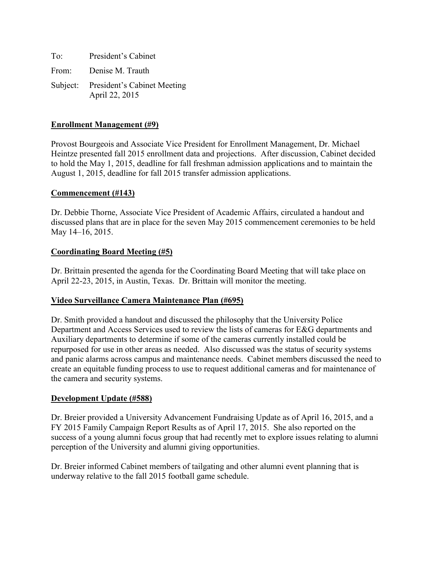To: President's Cabinet From: Denise M. Trauth Subject: President's Cabinet Meeting April 22, 2015

## **Enrollment Management (#9)**

Provost Bourgeois and Associate Vice President for Enrollment Management, Dr. Michael Heintze presented fall 2015 enrollment data and projections. After discussion, Cabinet decided to hold the May 1, 2015, deadline for fall freshman admission applications and to maintain the August 1, 2015, deadline for fall 2015 transfer admission applications.

### **Commencement (#143)**

Dr. Debbie Thorne, Associate Vice President of Academic Affairs, circulated a handout and discussed plans that are in place for the seven May 2015 commencement ceremonies to be held May 14–16, 2015.

### **Coordinating Board Meeting (#5)**

Dr. Brittain presented the agenda for the Coordinating Board Meeting that will take place on April 22-23, 2015, in Austin, Texas. Dr. Brittain will monitor the meeting.

### **Video Surveillance Camera Maintenance Plan (#695)**

Dr. Smith provided a handout and discussed the philosophy that the University Police Department and Access Services used to review the lists of cameras for E&G departments and Auxiliary departments to determine if some of the cameras currently installed could be repurposed for use in other areas as needed. Also discussed was the status of security systems and panic alarms across campus and maintenance needs. Cabinet members discussed the need to create an equitable funding process to use to request additional cameras and for maintenance of the camera and security systems.

#### **Development Update (#588)**

Dr. Breier provided a University Advancement Fundraising Update as of April 16, 2015, and a FY 2015 Family Campaign Report Results as of April 17, 2015. She also reported on the success of a young alumni focus group that had recently met to explore issues relating to alumni perception of the University and alumni giving opportunities.

Dr. Breier informed Cabinet members of tailgating and other alumni event planning that is underway relative to the fall 2015 football game schedule.